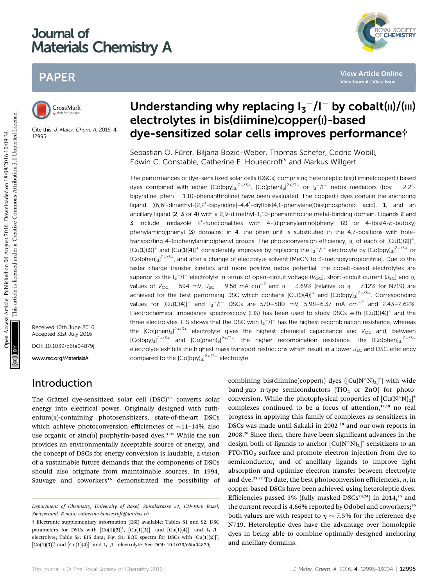# Journal of Materials Chemistry A

# PAPER



Cite this: J. Mater. Chem. A, 2016, 4, 12995

Received 10th June 2016 Accepted 31st July 2016 DOI: 10.1039/c6ta04879j www.rsc.org/MaterialsA

## Introduction

The Grätzel dye-sensitized solar cell (DSC)<sup>1,2</sup> converts solar energy into electrical power. Originally designed with ruth $enium(n)$ -containing photosensitizers, state-of-the-art DSCs which achieve photoconversion efficiencies of  $\sim$ 11–14% also use organic or zinc $(n)$  porphyrin-based dyes.<sup>3-15</sup> While the sun provides an environmentally acceptable source of energy, and the concept of DSCs for energy conversion is laudable, a vision of a sustainable future demands that the components of DSCs should also originate from maintainable sources. In 1994, Sauvage and coworkers<sup>16</sup> demonstrated the possibility of

# Understanding why replacing  $I_3$ <sup>-</sup>/l<sup>-</sup> by cobalt(||)/(|||) electrolytes in bis(diimine)copper(I)-based dye-sensitized solar cells improves performance†

Sebastian O. Fürer, Biljana Bozic-Weber, Thomas Schefer, Cedric Wobill, Edwin C. Constable, Catherine E. Housecroft\* and Markus Willgert

The performances of dye-sensitized solar cells (DSCs) comprising heteroleptic bis(diimine)copper(I) based dyes combined with either  $[Co(bpy)_{3}]^{2+\frac{1}{3}+}$ ,  $[Co(phen)_{3}]^{2+\frac{1}{3}+}$  or  $I_{3}^{-}/I^{-}$  redox mediators (bpy = 2,2'bipyridine, phen  $= 1,10$ -phenanthroline) have been evaluated. The copper(i) dyes contain the anchoring ligand ((6,6'-dimethyl-[2,2'-bipyridine]-4,4'-diyl)bis(4,1-phenylene))bis(phosphonic acid), 1, and an ancillary ligand (2, 3 or 4) with a 2,9-dimethyl-1,10-phenanthroline metal-binding domain. Ligands 2 and **3** include imidazole 2'-functionalities with 4-(diphenylamino)phenyl (2) or 4-(bis(4-n-butoxy) phenylamino)phenyl (3) domains; in 4, the phen unit is substituted in the 4,7-positions with holetransporting 4-(diphenylamino)phenyl groups. The photoconversion efficiency,  $\eta$ , of each of  $[Cu(1)(2)]^+$ ,  $[Cu(1)(3)]^+$  and  $[Cu(1)(4)]^+$  considerably improves by replacing the  $1<sub>3</sub>$ -/I<sup>-</sup> electrolyte by  $[Co(bpy)_{3}]^{2+/3+}$  or  $[Co(phen)<sub>3</sub>]$ <sup>2+/3+</sup>, and after a change of electrolyte solvent (MeCN to 3-methoxypropionitrile). Due to the faster charge transfer kinetics and more positive redox potential, the cobalt-based electrolytes are superior to the  $I_3$ <sup>-</sup>/I<sup>-</sup> electrolyte in terms of open-circuit voltage (V<sub>OC</sub>), short-circuit current (J<sub>SC</sub>) and  $\eta$ ; values of  $V_{\text{OC}} = 594$  mV,  $J_{\text{SC}} = 9.58$  mA cm<sup>-2</sup> and  $\eta = 3.69\%$  (relative to  $\eta = 7.12\%$  for N719) are achieved for the best performing DSC which contains  $[Cu(1)(4)]^+$  and  $[Co(bpy)_3]^{2+/3+}$ . Corresponding values for  $[Cu(1)(4)]^+$  and  $I_3^-/I^-$  DSCs are 570-580 mV, 5.98-6.37 mA cm<sup>-2</sup> and 2.43-2.62%. Electrochemical impedance spectroscopy (EIS) has been used to study DSCs with  $[Cu(1)(4)]^+$  and the three electrolytes. EIS shows that the DSC with  $I_3$ - $I$  has the highest recombination resistance, whereas the  $[Co(phen)<sub>3</sub>]^{2+/3+}$  electrolyte gives the highest chemical capacitance and  $V_{OC}$  and, between  $[Co(bpy)_{3}]^{2+/3+}$  and  $[Co(phen)_{3}]^{2+/3+}$ , the higher recombination resistance. The  $[Co(phen)_{3}]^{2+/3+}$ electrolyte exhibits the highest mass transport restrictions which result in a lower  $J_{SC}$  and DSC efficiency compared to the  $[Co(bpy)_3]^{2+/3+}$  electrolyte. PAPER<br>
CrossMather **Understanding why replacing**  $I_3^-/I^-$  **by cobalt(ii)/i)**<br> **electrolytes in bis(diiminelcopper(i)-based<br>
Signs 2.76 method of the comparison of the crossdess of the crossdess of the crossdess of the cros** 

> combining bis(diimine)copper(1) dyes  $([Cu(N^N)_2]^+)$  with wide band-gap n-type semiconductors (TiO<sub>2</sub> or ZnO) for photoconversion. While the photophysical properties of  $\left[\text{Cu}(\text{N}^{\wedge}\text{N})_{2}\right]^{+}$ complexes continued to be a focus of attention, $17,18$  no real progress in applying this family of complexes as sensitizers in DSCs was made until Sakaki in 2002 <sup>19</sup> and our own reports in 2008.<sup>20</sup> Since then, there have been significant advances in the design both of ligands to anchor  $\left[\mathrm{Cu(N^{\wedge}N)_{2}}\right]^{+}$  sensitizers to an  $FTO/TiO<sub>2</sub>$  surface and promote electron injection from dye to semiconductor, and of ancillary ligands to improve light absorption and optimize electron transfer between electrolyte and dye.<sup>21,22</sup> To date, the best photoconversion efficiencies,  $\eta$ , in copper-based DSCs have been achieved using heteroleptic dyes. Efficiencies passed 3% (fully masked  $DSCs<sup>23,24</sup>$ ) in 2014,<sup>25</sup> and the current record is 4.66% reported by Odobel and coworkers;<sup>26</sup> both values are with respect to  $\eta \sim 7.5\%$  for the reference dye N719. Heteroleptic dyes have the advantage over homoleptic dyes in being able to combine optimally designed anchoring and ancillary domains.



Department of Chemistry, University of Basel, Spitalstrasse 51, CH-4056 Basel, Switzerland. E-mail: catherine.housecroft@unibas.ch

<sup>†</sup> Electronic supplementary information (ESI) available: Tables S1 and S2: DSC parameters for DSCs with  $[\text{Cu}(1)(2)]^+$ ,  $[\text{Cu}(1)(3)]^+$  and  $[\text{Cu}(1)(4)]^+$  and  $I_3^-/I^$ electrolyte; Table S3: EIS data; Fig. S1: EQE spectra for DSCs with  $\left[\text{Cu}(1)(2)\right]^+$  $[\text{Cu(1)(3)}]^{+}$  and  $[\text{Cu(1)(4)}]^{+}$  and  $\text{I}_{3}^{-}/\text{I}^{-}$  electrolyte. See DOI: 10.1039/c6ta04879j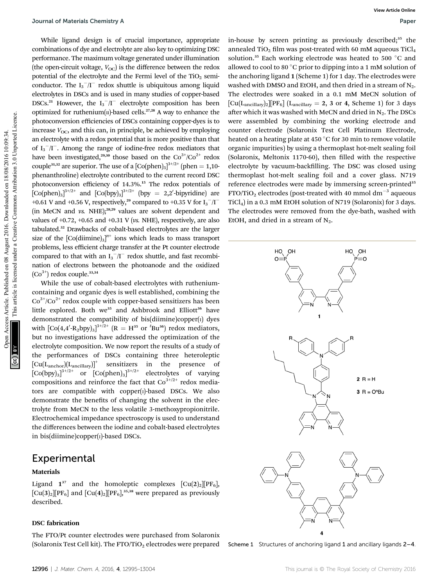While ligand design is of crucial importance, appropriate combinations of dye and electrolyte are also key to optimizing DSC performance. The maximum voltage generated under illumination (the open-circuit voltage,  $V_{\text{OC}}$ ) is the difference between the redox potential of the electrolyte and the Fermi level of the  $TiO<sub>2</sub>$  semiconductor. The  $I_3^-/I^-$  redox shuttle is ubiquitous among liquid electrolytes in DSCs and is used in many studies of copper-based DSCs.<sup>21</sup> However, the  $I_3^-/I^-$  electrolyte composition has been optimized for ruthenium( $\pi$ )-based cells.<sup>27,28</sup> A way to enhance the photoconversion efficiencies of DSCs containing copper-dyes is to increase  $V_{\text{OC}}$ , and this can, in principle, be achieved by employing an electrolyte with a redox potential that is more positive than that of  $I_3^-/I^-$ . Among the range of iodine-free redox mediators that have been investigated,<sup>29,30</sup> those based on the  $Co^{3+}/Co^{2+}$  redox couple<sup>31,32</sup> are superior. The use of a  $[Co(phen)_3]^{3+/2+}$  (phen = 1,10phenanthroline) electrolyte contributed to the current record DSC photoconversion efficiency of 14.3%.<sup>15</sup> The redox potentials of  $[Co(phen)_3]^{3+/2+}$  and  $[Co(bpy)_3]^{3+/2+}$  (bpy = 2,2'-bipyridine) are +0.61 V and +0.56 V, respectively,<sup>29</sup> compared to +0.35 V for  $I_3^-/I^-$ (in MeCN and  $\nu s$ . NHE);<sup>28,29</sup> values are solvent dependent and values of  $+0.72$ ,  $+0.65$  and  $+0.31$  V (vs. NHE), respectively, are also tabulated.<sup>32</sup> Drawbacks of cobalt-based electrolytes are the larger size of the  $[Co(dimine)_3]^{n+}$  ions which leads to mass transport problems, less efficient charge transfer at the Pt counter electrode compared to that with an  $I_3^-/I^-$  redox shuttle, and fast recombination of electrons between the photoanode and the oxidized  $(Co^{3+})$  redox couple.<sup>33,34</sup> Journal of Muterials Chemistry Articles. We<br>are the complete one of exceptive condensations of the model of the common and the common access Creative Common and the common and the common and the common and the common and

While the use of cobalt-based electrolytes with rutheniumcontaining and organic dyes is well established, combining the  $Co<sup>3+/Co<sup>2+</sup></sup>$  redox couple with copper-based sensitizers has been little explored. Both we<sup>35</sup> and Ashbrook and Elliott<sup>36</sup> have demonstrated the compatibility of bis(diimine)copper(1) dyes with  $\left[\text{Co}(4,\!4'\text{-R}_2\text{bpy})_3\right]^{3+/2+}$   $\left(\text{R} = \text{H}^{35} \text{ or } \text{4}'\text{Bu}^{36}\right)$  redox mediators, but no investigations have addressed the optimization of the electrolyte composition. We now report the results of a study of the performances of DSCs containing three heteroleptic  $[Cu(L<sub>anchor</sub>)(L<sub>ancillary</sub>)]<sup>+</sup>$  sensitizers in the presence of  $[Co(bpy)_3]^{3+/2+}$  or  $[Co(phen)_3]$ electrolytes of varying compositions and reinforce the fact that  $Co^{3+/2+}$  redox mediators are compatible with copper(I)-based DSCs. We also demonstrate the benefits of changing the solvent in the electrolyte from MeCN to the less volatile 3-methoxypropionitrile. Electrochemical impedance spectroscopy is used to understand the differences between the iodine and cobalt-based electrolytes in bis(diimine)copper(I)-based DSCs.

### Experimental

#### Materials

Ligand  $1^{37}$  and the homoleptic complexes  $\text{[Cu(2)_2][PF_6]}$ ,  $\text{[Cu(3)<sub>2</sub>][PF<sub>6</sub>]}$  and  $\text{[Cu(4)<sub>2</sub>][PF<sub>6</sub>]}$ <sup>35,38</sup> were prepared as previously described.

#### DSC fabrication

The FTO/Pt counter electrodes were purchased from Solaronix (Solaronix Test Cell kit). The  $FTO/TiO<sub>2</sub>$  electrodes were prepared

in-house by screen printing as previously described;<sup>35</sup> the annealed TiO<sub>2</sub> film was post-treated with 60 mM aqueous TiCl<sub>4</sub> solution.<sup>35</sup> Each working electrode was heated to 500  $\degree$ C and allowed to cool to 80  $\degree$ C prior to dipping into a 1 mM solution of the anchoring ligand 1 (Scheme 1) for 1 day. The electrodes were washed with DMSO and EtOH, and then dried in a stream of  $N_2$ . The electrodes were soaked in a 0.1 mM MeCN solution of  $\left[\text{Cu}(L_{\text{ancillary}})_{2}\right]\left[\text{PF}_{6}\right]$  ( $L_{\text{ancillary}} = 2, 3 \text{ or } 4$ , Scheme 1) for 3 days after which it was washed with MeCN and dried in  $N_2$ . The DSCs were assembled by combining the working electrode and counter electrode (Solaronix Test Cell Platinum Electrode, heated on a heating plate at 450  $\mathrm{^{\circ}C}$  for 30 min to remove volatile organic impurities) by using a thermoplast hot-melt sealing foil (Solaronix, Meltonix 1170-60), then filled with the respective electrolyte by vacuum-backfilling. The DSC was closed using thermoplast hot-melt sealing foil and a cover glass. N719 reference electrodes were made by immersing screen-printed<sup>35</sup>  $FTO/TiO<sub>2</sub>$  electrodes (post-treated with 40 mmol dm<sup>-3</sup> aqueous TiCl4) in a 0.3 mM EtOH solution of N719 (Solaronix) for 3 days. The electrodes were removed from the dye-bath, washed with EtOH, and dried in a stream of  $N_2$ .



Scheme 1 Structures of anchoring ligand 1 and ancillary ligands 2-4.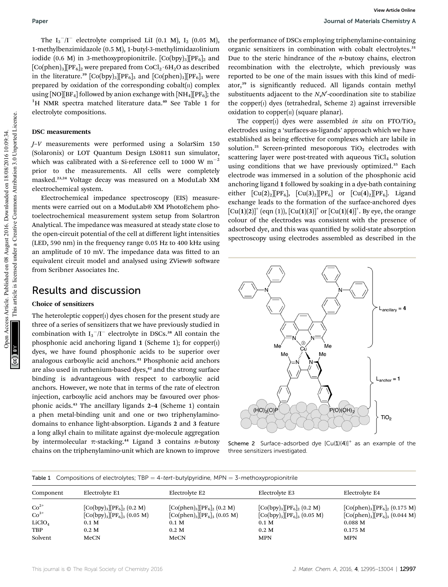The  $I_3^-/I^-$  electrolyte comprised LiI (0.1 M),  $I_2$  (0.05 M), 1-methylbenzimidazole (0.5 M), 1-butyl-3-methylimidazolinium iodide (0.6 M) in 3-methoxypropionitrile.  $[Co(bpy)_{3}] [PF_6]_2$  and  $[Co(phen)_3]$  $[PF_6]_2$  were prepared from  $CoCl_2 \cdot 6H_2O$  as described in the literature.<sup>39</sup> [Co(bpy)<sub>3</sub>][PF<sub>6</sub>]<sub>3</sub> and [Co(phen)<sub>3</sub>][PF<sub>6</sub>]<sub>3</sub> were prepared by oxidation of the corresponding  $\text{cobalt}(\text{II})$  complex using [NO][BF<sub>4</sub>] followed by anion exchange with [NH<sub>4</sub>][PF<sub>6</sub>]; the  ${}^{1}$ H NMR spectra matched literature data.<sup>40</sup> See Table 1 for electrolyte compositions.

### DSC measurements

J–V measurements were performed using a SolarSim 150 (Solaronix) or LOT Quantum Design LS0811 sun simulator, which was calibrated with a Si-reference cell to 1000 W  $m^{-2}$ prior to the measurements. All cells were completely masked.23,24 Voltage decay was measured on a ModuLab XM electrochemical system.

Electrochemical impedance spectroscopy (EIS) measurements were carried out on a ModuLab® XM PhotoEchem photoelectrochemical measurement system setup from Solartron Analytical. The impedance was measured at steady state close to the open-circuit potential of the cell at different light intensities (LED, 590 nm) in the frequency range 0.05 Hz to 400 kHz using an amplitude of 10 mV. The impedance data was fitted to an equivalent circuit model and analysed using ZView® software from Scribner Associates Inc.

# Results and discussion

### Choice of sensitizers

The heteroleptic copper $(i)$  dyes chosen for the present study are three of a series of sensitizers that we have previously studied in combination with  $I_3^-/I^-$  electrolyte in DSCs.<sup>38</sup> All contain the phosphonic acid anchoring ligand 1 (Scheme 1); for copper $(i)$ dyes, we have found phosphonic acids to be superior over analogous carboxylic acid anchors.<sup>41</sup> Phosphonic acid anchors are also used in ruthenium-based dyes,<sup>42</sup> and the strong surface binding is advantageous with respect to carboxylic acid anchors. However, we note that in terms of the rate of electron injection, carboxylic acid anchors may be favoured over phosphonic acids.<sup>43</sup> The ancillary ligands 2–4 (Scheme 1) contain a phen metal-binding unit and one or two triphenylaminodomains to enhance light-absorption. Ligands 2 and 3 feature a long alkyl chain to militate against dye-molecule aggregation by intermolecular  $\pi$ -stacking.<sup>44</sup> Ligand 3 contains *n*-butoxy chains on the triphenylamino-unit which are known to improve the performance of DSCs employing triphenylamine-containing organic sensitizers in combination with cobalt electrolytes.<sup>31</sup> Due to the steric hindrance of the  $n$ -butoxy chains, electron recombination with the electrolyte, which previously was reported to be one of the main issues with this kind of mediator,<sup>39</sup> is significantly reduced. All ligands contain methyl substituents adjacent to the  $N, N'$ -coordination site to stabilize the copper $(i)$  dyes (tetrahedral, Scheme 2) against irreversible oxidation to copper $(n)$  (square planar).

The copper(I) dyes were assembled in situ on  $FTO/TIO<sub>2</sub>$ electrodes using a 'surfaces-as-ligands' approach which we have established as being effective for complexes which are labile in solution.<sup>21</sup> Screen-printed mesoporous  $TiO<sub>2</sub>$  electrodes with scattering layer were post-treated with aqueous  $TiCl<sub>4</sub>$  solution using conditions that we have previously optimized.<sup>35</sup> Each electrode was immersed in a solution of the phosphonic acid anchoring ligand 1 followed by soaking in a dye-bath containing either  $\lceil \text{Cu}(2)_2 \rceil \text{PF}_6 \rceil$ ,  $\lceil \text{Cu}(3)_2 \rceil \text{PF}_6 \rceil$  or  $\lceil \text{Cu}(4)_2 \rceil \text{PF}_6 \rceil$ . Ligand exchange leads to the formation of the surface-anchored dyes  $[Cu(1)(2)]^{+}$  (eqn (1)),  $[Cu(1)(3)]^{+}$  or  $[Cu(1)(4)]^{+}$ . By eye, the orange colour of the electrodes was consistent with the presence of adsorbed dye, and this was quantified by solid-state absorption spectroscopy using electrodes assembled as described in the Paper<br>
The 1, 7.1 electrolet on 08 August 2016. During Simple (access Article is licensed under the computer of the common access Article is licensed under the common access Article is licensed under the common access Art



Scheme 2 Surface-adsorbed dye  $[Cu(1)(4)]^+$  as an example of the three sensitizers investigated.

Table 1 Compositions of electrolytes; TBP = 4-tert-butylpyridine, MPN = 3-methoxypropionitrile

| Component          | Electrolyte E1                      | Electrolyte E2                                                  | Electrolyte E3                      | Electrolyte E4                                                    |
|--------------------|-------------------------------------|-----------------------------------------------------------------|-------------------------------------|-------------------------------------------------------------------|
| $Co^{2+}$          | $[Co(bpy)_{3}][PF_{6}]_{2}$ (0.2 M) | [Co(phen) <sub>3</sub> ][PF <sub>6</sub> ] <sub>2</sub> (0.2 M) | $[Co(bpy)_{3}][PF_{6}]_{2}$ (0.2 M) | [Co(phen) <sub>3</sub> ][PF <sub>6</sub> ] <sub>2</sub> (0.175 M) |
| $Co^{3+}$          | $[Co(bpy)_{3}] [PF_6]_{3} (0.05 M)$ | $[Co(phen)3][PF6]3 (0.05 M)$                                    | $[Co(bpy)_{3}][PF_6]_{3}$ (0.05 M)  | [Co(phen) <sub>3</sub> ][PF <sub>6</sub> ] <sub>3</sub> (0.044 M) |
| LiClO <sub>4</sub> | 0.1 <sub>M</sub>                    | 0.1 <sub>M</sub>                                                | $0.1\ \mathrm{M}$                   | 0.088 <sub>M</sub>                                                |
| <b>TBP</b>         | 0.2 M                               | $0.2\ M$                                                        | 0.2 M                               | 0.175 M                                                           |
| Solvent            | MeCN                                | MeCN                                                            | <b>MPN</b>                          | <b>MPN</b>                                                        |
|                    |                                     |                                                                 |                                     |                                                                   |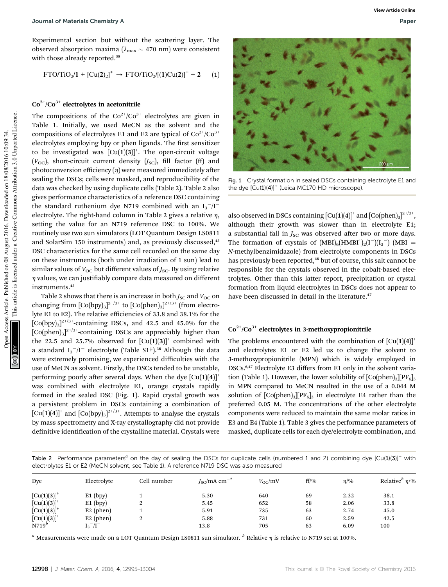Experimental section but without the scattering layer. The observed absorption maxima ( $\lambda_{\text{max}} \sim 470$  nm) were consistent with those already reported.<sup>38</sup>

$$
FTO/TiO_2/1 + [Cu(2)_2]^+ \rightarrow FTO/TiO_2/[(1)Cu(2)]^+ + 2 \qquad (1)
$$

### $Co<sup>2+</sup>/Co<sup>3+</sup>$  electrolytes in acetonitrile

The compositions of the  $Co^{2+}/Co^{3+}$  electrolytes are given in Table 1. Initially, we used MeCN as the solvent and the compositions of electrolytes E1 and E2 are typical of  $Co^{2+}/Co^{3+}$ electrolytes employing bpy or phen ligands. The first sensitizer to be investigated was  $[Cu(1)(3)]^{+}$ . The open-circuit voltage  $(V<sub>OC</sub>)$ , short-circuit current density  $(J<sub>SC</sub>)$ , fill factor (ff) and photoconversion efficiency  $(\eta)$  were measured immediately after sealing the DSCs; cells were masked, and reproducibility of the data was checked by using duplicate cells (Table 2). Table 2 also gives performance characteristics of a reference DSC containing the standard ruthenium dye N719 combined with an  $I_3^-/I^$ electrolyte. The right-hand column in Table 2 gives a relative  $\eta$ , setting the value for an N719 reference DSC to 100%. We routinely use two sun simulators (LOT Quantum Design LS0811 and SolarSim 150 instruments) and, as previously discussed,<sup>45</sup> DSC characteristics for the same cell recorded on the same day on these instruments (both under irradiation of 1 sun) lead to similar values of  $V_{\text{OC}}$  but different values of  $J_{\text{SC}}$ . By using relative  $\eta$  values, we can justifiably compare data measured on different instruments.<sup>45</sup> **Co**nds of Materials Chemistry A<br>
concrete disorption matricia  $Q_{\text{max}} = 470$  and percent consistent<br>
view throus a since of the Co<sup>3</sup> August 2016 (Cu(1)(3)<sup>-1</sup> and 2016 10:09:34. This are typical commons are given in<br>  $Q$ 

Table 2 shows that there is an increase in both  $J_{\text{SC}}$  and  $V_{\text{OC}}$  on changing from  $[Co(bpy)_3]^{2+/3+}$  to  $[Co(phen)_3]^{2+/3+}$  (from electrolyte E1 to E2). The relative efficiencies of 33.8 and 38.1% for the  $\left[\text{Co(bpy)}_{3}\right]^{2^{t/3+}}$ -containing DSCs, and 42.5 and 45.0% for the  $[Co(phen)_3]^{2+/3+}$ -containing DSCs are appreciably higher than the 22.5 and 25.7% observed for  $\left[ Cu(1)(3) \right]^+$  combined with a standard  $I_3^-/I^-$  electrolyte (Table S1†).<sup>38</sup> Although the data were extremely promising, we experienced difficulties with the use of MeCN as solvent. Firstly, the DSCs tended to be unstable, performing poorly after several days. When the dye  $\lceil Cu(1)(4) \rceil^+$ was combined with electrolyte E1, orange crystals rapidly formed in the sealed DSC (Fig. 1). Rapid crystal growth was a persistent problem in DSCs containing a combination of  $\left[\mathrm{Cu(1)(4)}\right]^{\mathrm{+}}$  and  $\left[\mathrm{Co(bpy)}_{3}\right]^{2+/3+}$ . Attempts to analyse the crystals by mass spectrometry and X-ray crystallography did not provide definitive identification of the crystalline material. Crystals were



Fig. 1 Crystal formation in sealed DSCs containing electrolyte E1 and the dye  $[Cu(1)(4)]^{+}$  (Leica MC170 HD microscope).

also observed in DSCs containing  $\left[\mathrm{Cu(1)(4)}\right]^{\mathrm{+}}$  and  $\left[\mathrm{Co(phen)_3}\right]^{2^{+/3+}},$ although their growth was slower than in electrolyte E1; a substantial fall in  $J_{\text{SC}}$  was observed after two or more days. The formation of crystals of  $(MBI)_6(HMBI^+)_2(I^-)(I_3^-)$  (MBI = N-methylbenzimidazole) from electrolyte components in DSCs has previously been reported,<sup>46</sup> but of course, this salt cannot be responsible for the crystals observed in the cobalt-based electrolytes. Other than this latter report, precipitation or crystal formation from liquid electrolytes in DSCs does not appear to have been discussed in detail in the literature.<sup>47</sup>

### $Co<sup>2+</sup>/Co<sup>3+</sup>$  electrolytes in 3-methoxypropionitrile

The problems encountered with the combination of  $\left[Cu(1)(4)\right]^{+}$ and electrolytes E1 or E2 led us to change the solvent to 3-methoxypropionitrile (MPN) which is widely employed in DSCs.6,47 Electrolyte E3 differs from E1 only in the solvent variation (Table 1). However, the lower solubility of  $[Co(phen)_3]$   $[PF_6]_3$ in MPN compared to MeCN resulted in the use of a 0.044 M solution of  $[Co(phen)_3][PF_6]_3$  in electrolyte E4 rather than the preferred 0.05 M. The concentrations of the other electrolyte components were reduced to maintain the same molar ratios in E3 and E4 (Table 1). Table 3 gives the performance parameters of masked, duplicate cells for each dye/electrolyte combination, and

Table 2 Performance parameters<sup>a</sup> on the day of sealing the DSCs for duplicate cells (numbered 1 and 2) combining dye  $[Cu(1)(3)]^+$  with electrolytes E1 or E2 (MeCN solvent, see Table 1). A reference N719 DSC was also measured

| Dye              | Electrolyte     | Cell number | $JSC/mA cm-2$ | $V_{\rm OC}$ /mV | $ff$ /% | $\eta$ /% | Relative <sup>b</sup> $\eta$ /% |
|------------------|-----------------|-------------|---------------|------------------|---------|-----------|---------------------------------|
| $[Cu(1)(3)]^{+}$ | $E1$ (bpy)      |             | 5.30          | 640              | 69      | 2.32      | 38.1                            |
| $[Cu(1)(3)]^{+}$ | $E1$ (bpy)      | ∼           | 5.45          | 652              | 58      | 2.06      | 33.8                            |
| $[Cu(1)(3)]^+$   | $E2$ (phen)     |             | 5.91          | 735              | 63      | 2.74      | 45.0                            |
| $[Cu(1)(3)]^{+}$ | $E2$ (phen)     | ∠           | 5.88          | 731              | 60      | 2.59      | 42.5                            |
| N719'            | $I_3^{-}/I^{-}$ |             | 13.8          | 705              | 63      | 6.09      | 100                             |

<sup>a</sup> Measurements were made on a LOT Quantum Design LS0811 sun simulator.  $\frac{b}{b}$  Relative  $\eta$  is relative to N719 set at 100%.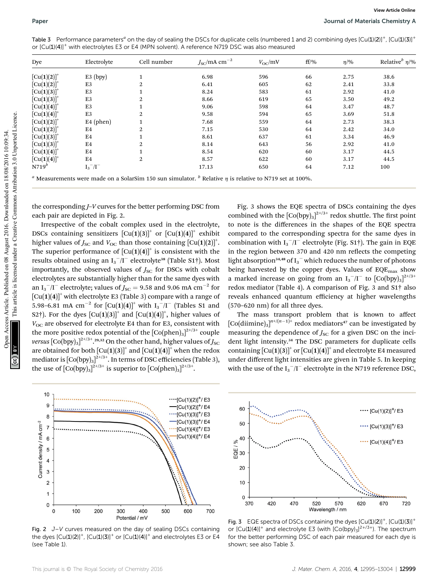| Dye                                                                                                                                              | Electrolyte                        | Cell number                                                                                                                                                    | $J_{\rm SC}/\rm{mA~cm}^{-2}$ | $V_{\rm OC}$ /mV                                                                                                                                | $ff$ /% | $\eta$ /% | Relative <sup>b</sup> $\eta$ /% |
|--------------------------------------------------------------------------------------------------------------------------------------------------|------------------------------------|----------------------------------------------------------------------------------------------------------------------------------------------------------------|------------------------------|-------------------------------------------------------------------------------------------------------------------------------------------------|---------|-----------|---------------------------------|
| $[Cu(1)(2)]^{+}$                                                                                                                                 | $E3$ (bpy)                         | $\mathbf{1}$                                                                                                                                                   | 6.98                         | 596                                                                                                                                             | 66      | 2.75      | 38.6                            |
| $[Cu(1)(2)]^{+}$                                                                                                                                 | E3                                 | $\mathbf{2}$                                                                                                                                                   | 6.41                         | 605                                                                                                                                             | 62      | 2.41      | 33.8                            |
| $[Cu(1)(3)]^+$                                                                                                                                   | E3                                 | 1                                                                                                                                                              | 8.24                         | 583                                                                                                                                             | 61      | 2.92      | 41.0                            |
| $[Cu(1)(3)]^+$                                                                                                                                   | E3                                 | $\overline{2}$                                                                                                                                                 | 8.66                         | 619                                                                                                                                             | 65      | 3.50      | 49.2                            |
| $[Cu(1)(4)]^+$                                                                                                                                   | E3                                 | 1                                                                                                                                                              | 9.06                         | 598                                                                                                                                             | 64      | 3.47      | 48.7                            |
| $[Cu(1)(4)]^+$                                                                                                                                   | E3                                 | 2                                                                                                                                                              | 9.58                         | 594                                                                                                                                             | 65      | 3.69      | 51.8                            |
| $[Cu(1)(2)]^+$                                                                                                                                   | $E4$ (phen)                        | $\mathbf{1}$                                                                                                                                                   | 7.68                         | 559                                                                                                                                             | 64      | 2.73      | 38.3                            |
| $[Cu(1)(2)]^{+}$                                                                                                                                 | E4                                 | 2                                                                                                                                                              | 7.15                         | 530                                                                                                                                             | 64      | 2.42      | 34.0                            |
| $[Cu(1)(3)]^+$                                                                                                                                   | E4                                 | $\mathbf{1}$                                                                                                                                                   | 8.61                         | 637                                                                                                                                             | 61      | 3.34      | 46.9                            |
| $[Cu(1)(3)]^+$                                                                                                                                   | E4                                 | $\overline{2}$                                                                                                                                                 | 8.14                         | 643                                                                                                                                             | 56      | 2.92      | 41.0                            |
| $[Cu(1)(4)]^{+}$                                                                                                                                 | E4                                 | $\mathbf{1}$                                                                                                                                                   | 8.54                         | 620                                                                                                                                             | 60      | 3.17      | 44.5                            |
| $[Cu(1)(4)]^+$                                                                                                                                   | E4                                 | $\overline{2}$                                                                                                                                                 | 8.57                         | 622                                                                                                                                             | 60      | 3.17      | 44.5                            |
| $N719^b$                                                                                                                                         | $I_3$ <sup>-</sup> /I <sup>-</sup> |                                                                                                                                                                | 17.13                        | 650                                                                                                                                             | 64      | 7.12      | 100                             |
|                                                                                                                                                  |                                    |                                                                                                                                                                |                              |                                                                                                                                                 |         |           |                                 |
| <sup><i>a</i></sup> Measurements were made on a SolarSim 150 sun simulator. <sup><i>b</i></sup> Relative $\eta$ is relative to N719 set at 100%. |                                    | the corresponding J-V curves for the better performing DSC from                                                                                                |                              | Fig. 3 shows the EQE spectra of DSCs containing the dyes                                                                                        |         |           |                                 |
|                                                                                                                                                  | each pair are depicted in Fig. 2.  | Irrespective of the cobalt complex used in the electrolyte,                                                                                                    |                              | combined with the $[Co(bpy)_3]^{2+/3+}$ redox shuttle. The first point<br>to note is the differences in the shapes of the EQE spectra           |         |           |                                 |
|                                                                                                                                                  |                                    | DSCs containing sensitizers $\left[\text{Cu}(1)(3)\right]^+$ or $\left[\text{Cu}(1)(4)\right]^+$ exhibit                                                       |                              | compared to the corresponding spectra for the same dyes in                                                                                      |         |           |                                 |
|                                                                                                                                                  |                                    |                                                                                                                                                                |                              |                                                                                                                                                 |         |           |                                 |
|                                                                                                                                                  |                                    | higher values of $J_{SC}$ and $V_{OC}$ than those containing $\left[ Cu(1)(2) \right]^+$ .                                                                     |                              | combination with $I_3^-/I^-$ electrolyte (Fig. S1†). The gain in EQE                                                                            |         |           |                                 |
|                                                                                                                                                  |                                    | The superior performance of $\left[\text{Cu}(1)(4)\right]^+$ is consistent with the                                                                            |                              | in the region between 370 and 420 nm reflects the competing                                                                                     |         |           |                                 |
|                                                                                                                                                  |                                    | results obtained using an $I_3^-/I^-$ electrolyte <sup>38</sup> (Table S1 <sup>†</sup> ). Most                                                                 |                              | light absorption <sup>34,48</sup> of $I_3$ <sup>-</sup> which reduces the number of photons                                                     |         |           |                                 |
|                                                                                                                                                  |                                    | importantly, the observed values of $JSC$ for DSCs with cobalt                                                                                                 |                              | being harvested by the copper dyes. Values of EQE <sub>max</sub> show                                                                           |         |           |                                 |
|                                                                                                                                                  |                                    | electrolytes are substantially higher than for the same dyes with                                                                                              |                              | a marked increase on going from an $I_3^-/I^-$ to $[Co(bpy)_3]^{2^{+/3+}}$                                                                      |         |           |                                 |
|                                                                                                                                                  |                                    | an I <sub>3</sub> <sup>-</sup> /I <sup>-</sup> electrolyte; values of $J_{SC}$ = 9.58 and 9.06 mA cm <sup>-2</sup> for                                         |                              | redox mediator (Table 4). A comparison of Fig. 3 and S1 <sup>+</sup> also                                                                       |         |           |                                 |
|                                                                                                                                                  |                                    | $\lceil Cu(1)(4) \rceil$ with electrolyte E3 (Table 3) compare with a range of                                                                                 |                              | reveals enhanced quantum efficiency at higher wavelengths                                                                                       |         |           |                                 |
|                                                                                                                                                  |                                    | 5.98–6.81 mA cm <sup>-2</sup> for $\left[ Cu(1)(4) \right]$ <sup>+</sup> with $I_3^-/I^-$ (Tables S1 and                                                       |                              | (570-620 nm) for all three dyes.                                                                                                                |         |           |                                 |
|                                                                                                                                                  |                                    |                                                                                                                                                                |                              |                                                                                                                                                 |         |           |                                 |
|                                                                                                                                                  |                                    | S2†). For the dyes $\lceil Cu(1)(3) \rceil$ and $\lceil Cu(1)(4) \rceil$ , higher values of                                                                    |                              | The mass transport problem that is known to affect                                                                                              |         |           |                                 |
|                                                                                                                                                  |                                    | $V_{OC}$ are observed for electrolyte E4 than for E3, consistent with                                                                                          |                              | $\left[\text{Co}(\text{dimine})_3\right]^{n+/(n-1)}$ redox mediators <sup>47</sup> can be investigated by                                       |         |           |                                 |
|                                                                                                                                                  |                                    | the more positive redox potential of the $[Co(phen)_3]^{2^{+/3+}}$ couple<br>versus $[Co(bpy)_3]^{2+/3+}$ . 29,32 On the other hand, higher values of $J_{SC}$ |                              | measuring the dependence of $J_{SC}$ for a given DSC on the inci-<br>dent light intensity. <sup>34</sup> The DSC parameters for duplicate cells |         |           |                                 |

Table 3 Performance parameters<sup>a</sup> on the day of sealing the DSCs for duplicate cells (numbered 1 and 2) combining dyes  $[Cu(1)(2)]^+$ ,  $[Cu(1)(3)]^+$ or  $[Cu(1)(4)]^+$  with electrolytes E3 or E4 (MPN solvent). A reference N719 DSC was also measured

Irrespective of the cobalt complex used in the electrolyte, DSCs containing sensitizers  $[Cu(1)(3)]^+$  or  $[Cu(1)(4)]^+$  exhibit higher values of  $J_{\rm SC}$  and  $V_{\rm OC}$  than those containing  $\left[\text{Cu(1)(2)}\right]^+$ . The superior performance of  $[Cu(1)(4)]^+$  is consistent with the results obtained using an  $I_3^-/I^-$  electrolyte<sup>38</sup> (Table S1†). Most importantly, the observed values of  $J<sub>SC</sub>$  for DSCs with cobalt electrolytes are substantially higher than for the same dyes with an I<sub>3</sub><sup>-</sup>/I<sup>-</sup> electrolyte; values of  $J_{\rm SC}$  = 9.58 and 9.06 mA cm<sup>-2</sup> for  $[Cu(1)(4)]^+$  with electrolyte E3 (Table 3) compare with a range of 5.98–6.81 mA  $\text{cm}^{-2}$  for  $\text{[Cu(1)(4)]}^+$  with  $\text{I}_3^-/\text{I}^-$  (Tables S1 and S2†). For the dyes  $\left[\text{Cu}(1)(3)\right]^+$  and  $\left[\text{Cu}(1)(4)\right]^+$ , higher values of  $V_{\text{OC}}$  are observed for electrolyte E4 than for E3, consistent with the more positive redox potential of the  $\left[{\rm Co(phen)_3}\right]^{2+/3+}$  couple v*ersus* [Co(bpy)<sub>3</sub>] $^{2+/3+}$ .29,32 On the other hand, higher values of  $J_{\mathrm{SC}}$ are obtained for both  $\left[ Cu(1)(3) \right]^+$  and  $\left[ Cu(1)(4) \right]^+$  when the redox mediator is  $[\text{Co(bpy)}_{3}]^{2^{+}/3^{+}}$ . In terms of DSC efficiencies (Table 3), the use of  $[Co(bpy)_3]^{2+/3+}$  is superior to  $[Co(phen)_3]^{2+/3+}$ .



Fig. 2 J–V curves measured on the day of sealing DSCs containing the dyes  $[Cu(1)(2)]^{+}$ ,  $[Cu(1)(3)]^{+}$  or  $[Cu(1)(4)]^{+}$  and electrolytes E3 or E4 (see Table 1).

The mass transport problem that is known to affect  $\left[\text{Co}(\text{dimine})_3\right]^{n+/(n-1)+}$  redox mediators<sup>47</sup> can be investigated by measuring the dependence of  $J_{SC}$  for a given DSC on the incident light intensity.<sup>34</sup> The DSC parameters for duplicate cells containing  $\left[\text{Cu}(1)(3)\right]^+$  or  $\left[\text{Cu}(1)(4)\right]^+$  and electrolyte E4 measured under different light intensities are given in Table 5. In keeping with the use of the  $I_3$ <sup>-</sup>/I<sup>-</sup> electrolyte in the N719 reference DSC,



Fig. 3 EQE spectra of DSCs containing the dyes  $[Cu(1)(2)]^+$ ,  $[Cu(1)(3)]^+$ or  $[Cu(1)(4)]^+$  and electrolyte E3 (with  $[Co(bpy)_3]^{2+/3+}$ ). The spectrum for the better performing DSC of each pair measured for each dye is shown; see also Table 3.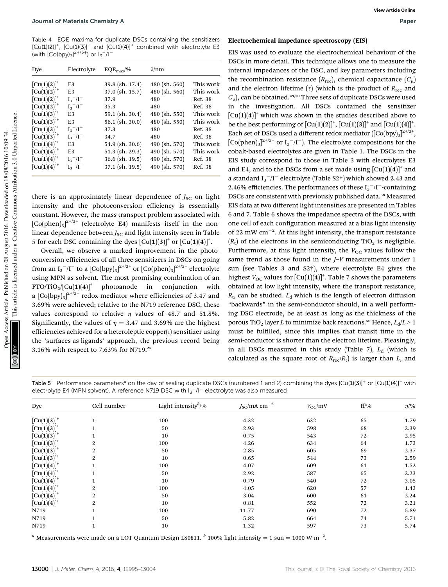Table 4 EQE maxima for duplicate DSCs containing the sensitizers  $[Cu(1)(2)]^+$ ,  $[Cu(1)(3)]^+$  and  $[Cu(1)(4)]^+$  combined with electrolyte E3 (with  $[Co(bpy)_{3}]^{2+/3+}$ ) or  $I_{3}^{-}/I^{-}$ 

| Dye              | Electrolyte                        | $EQE_{\text{max}}/$ % | $\lambda$ /nm   |           |
|------------------|------------------------------------|-----------------------|-----------------|-----------|
| $[Cu(1)(2)]^{+}$ | E3                                 | $39.8$ (sh. 17.4)     | $480$ (sh. 560) | This work |
| $[Cu(1)(2)]^{+}$ | E3                                 | 37.0 (sh. 15.7)       | 480 (sh. 560)   | This work |
| $[Cu(1)(2)]^{+}$ | $I_3^-/I^-$                        | 37.9                  | 480             | Ref. 38   |
| $[Cu(1)(2)]^{+}$ | $I_3^-/I^-$                        | 35.3                  | 480             | Ref. 38   |
| $[Cu(1)(3)]^+$   | E3                                 | 59.1 (sh. 30.4)       | $480$ (sh. 550) | This work |
| $[Cu(1)(3)]^{+}$ | E3                                 | $56.1$ (sh. 30.0)     | 480 (sh. 550)   | This work |
| $[Cu(1)(3)]^+$   | $I_3$ <sup>-</sup> /I <sup>-</sup> | 37.3                  | 480             | Ref. 38   |
| $[Cu(1)(3)]^{+}$ | $I_3^-/I^-$                        | 34.7                  | 480             | Ref. 38   |
| $[Cu(1)(4)]^{+}$ | E3                                 | $54.9$ (sh. 30.6)     | 490 (sh. 570)   | This work |
| $[Cu(1)(4)]^{+}$ | E3                                 | $51.3$ (sh. 29.3)     | 490 (sh. 570)   | This work |
| $[Cu(1)(4)]^{+}$ | $I_3^-/I^-$                        | $36.6$ (sh. 19.5)     | 490 (sh. 570)   | Ref. 38   |
| $[Cu(1)(4)]^{+}$ | $I_3$ <sup>-</sup> /I <sup>-</sup> | $37.1$ (sh. 19.5)     | 490 (sh. 570)   | Ref. 38   |

there is an approximately linear dependence of  $J_{SC}$  on light intensity and the photoconversion efficiency is essentially constant. However, the mass transport problem associated with  $\left[\text{Co(phen)}_{3}\right]^{2+/3+}$  (electrolyte E4) manifests itself in the nonlinear dependence between  $J_{SC}$  and light intensity seen in Table 5 for each DSC containing the dyes  $\left[\text{Cu}(1)(3)\right]^+$  or  $\left[\text{Cu}(1)(4)\right]^+.$ 

Overall, we observe a marked improvement in the photoconversion efficiencies of all three sensitizers in DSCs on going from an I $_{3}^{-}/$ I $^{-}$  to a  $[\mathrm{Co(bpy)_{3}}]^{2+/3+}$  or  $[\mathrm{Co(phen)_{3}}]^{2+/3+}$  electrolyte using MPN as solvent. The most promising combination of an  $FTO/TiO_2/[Cu(1)(4)]^+$  photoanode in conjunction with a  $[{\rm Co(bpy)}_3]^{2+/3+}$  redox mediator where efficiencies of 3.47 and 3.69% were achieved; relative to the N719 reference DSC, these values correspond to relative  $\eta$  values of 48.7 and 51.8%. Significantly, the values of  $\eta = 3.47$  and 3.69% are the highest efficiencies achieved for a heteroleptic copper $(i)$  sensitizer using the 'surfaces-as-ligands' approach, the previous record being 3.16% with respect to 7.63% for N719.<sup>25</sup>

#### Electrochemical impedance spectroscopy (EIS)

EIS was used to evaluate the electrochemical behaviour of the DSCs in more detail. This technique allows one to measure the internal impedances of the DSC, and key parameters including the recombination resistance  $(R_{\text{rec}})$ , chemical capacitance  $(C_{\mu})$ and the electron lifetime ( $\tau$ ) (which is the product of  $R_{\text{rec}}$  and  $C_{\mu}$ ), can be obtained.<sup>49,50</sup> Three sets of duplicate DSCs were used in the investigation. All DSCs contained the sensitizer  $[Cu(1)(4)]^+$  which was shown in the studies described above to be the best performing of  $\left[\mathrm{Cu(1)(2)}\right]^+$ ,  $\left[\mathrm{Cu(1)(3)}\right]^+$  and  $\left[\mathrm{Cu(1)(4)}\right]^+$ . Each set of DSCs used a different redox mediator  $([Co(bpy)_3]^{2+/3+},$  $\left[\text{Co(phen)}_{3}\right]^{2+/3+}$  or  $I_{3}^{-}/I^{-}$ ). The electrolyte compositions for the cobalt-based electrolytes are given in Table 1. The DSCs in the EIS study correspond to those in Table 3 with electrolytes E3 and E4, and to the DSCs from a set made using  $\lceil Cu(1)(4) \rceil^+$  and a standard I $_{3}^{-}/$ I $^{-}$  electrolyte (Table S2†) which showed 2.43 and 2.46% efficiencies. The performances of these  ${\rm I_3}^-/\rm I^-$  containing DSCs are consistent with previously published data.<sup>38</sup> Measured EIS data at two different light intensities are presented in Tables 6 and 7. Table 6 shows the impedance spectra of the DSCs, with one cell of each configuration measured at a bias light intensity of 22 mW  $cm^{-2}$ . At this light intensity, the transport resistance  $(R_t)$  of the electrons in the semiconducting TiO<sub>2</sub> is negligible. Furthermore, at this light intensity, the  $V_{\text{OC}}$  values follow the same trend as those found in the *J*-*V* measurements under 1 sun (see Tables 3 and S2†), where electrolyte E4 gives the highest  $V_{\rm OC}$  values for  $\left[\mathrm{Cu(1)(4)}\right]^+$ . Table 7 shows the parameters obtained at low light intensity, where the transport resistance,  $R_t$ , can be studied.  $L_d$  which is the length of electron diffusion "backwards" in the semi-conductor should, in a well performing DSC electrode, be at least as long as the thickness of the porous TiO<sub>2</sub> layer L to minimize back reactions.<sup>50</sup> Hence,  $L_d/L > 1$ must be fulfilled, since this implies that transit time in the semi-conductor is shorter than the electron lifetime. Pleasingly, in all DSCs measured in this study (Table 7),  $L_d$  (which is calculated as the square root of  $R_{\text{rec}}/R_t$ ) is larger than  $L$ , and Journal of Materials Chemistry A<br>
Teach 1 Controlling (ECs) containing the enrolling on the controlling increase and the column content is like the second under the behavior of the second on the second on 18/08/2016 10:09

Table 5 Performance parameters<sup>a</sup> on the day of sealing duplicate DSCs (numbered 1 and 2) combining the dyes  $[Cu(1)(3)]^+$  or  $[Cu(1)(4)]^+$  with electrolyte E4 (MPN solvent). A reference N719 DSC with  $I_3^-/I^-$  electrolyte was also measured

| Dye              | Cell number    | Light intensity <sup>b</sup> /% | $JSC/mA cm-2$ | $V_{\rm OC}$ /mV | $ff/\%$ | $\eta$ /% |
|------------------|----------------|---------------------------------|---------------|------------------|---------|-----------|
| $[Cu(1)(3)]^+$   |                | 100                             | 4.32          | 632              | 65      | 1.79      |
| $[Cu(1)(3)]^{+}$ |                | 50                              | 2.93          | 598              | 68      | 2.39      |
| $[Cu(1)(3)]^{+}$ |                | 10                              | 0.75          | 543              | 72      | 2.95      |
| $[Cu(1)(3)]^{+}$ | 2              | 100                             | 4.26          | 634              | 64      | 1.73      |
| $[Cu(1)(3)]^{+}$ | 2              | 50                              | 2.85          | 605              | 69      | 2.37      |
| $[Cu(1)(3)]^{+}$ | 2              | 10                              | 0.65          | 544              | 73      | 2.59      |
| $[Cu(1)(4)]^{+}$ |                | 100                             | 4.07          | 609              | 61      | 1.52      |
| $[Cu(1)(4)]^{+}$ |                | 50                              | 2.92          | 587              | 65      | 2.23      |
| $[Cu(1)(4)]^{+}$ |                | 10                              | 0.79          | 540              | 72      | 3.05      |
| $[Cu(1)(4)]^{+}$ | 2              | 100                             | 4.05          | 620              | 57      | 1.43      |
| $[Cu(1)(4)]^+$   | $\overline{2}$ | 50                              | 3.04          | 600              | 61      | 2.24      |
| $[Cu(1)(4)]^{+}$ | 2              | 10                              | 0.81          | 552              | 72      | 3.21      |
| N719             |                | 100                             | 11.77         | 690              | 72      | 5.89      |
| N719             |                | 50                              | 5.82          | 664              | 74      | 5.71      |
| N719             |                | 10                              | 1.32          | 597              | 73      | 5.74      |

<sup>a</sup> Measurements were made on a LOT Quantum Design LS0811.  $^b$  100% light intensity = 1 sun = 1000 W m<sup>-2</sup>.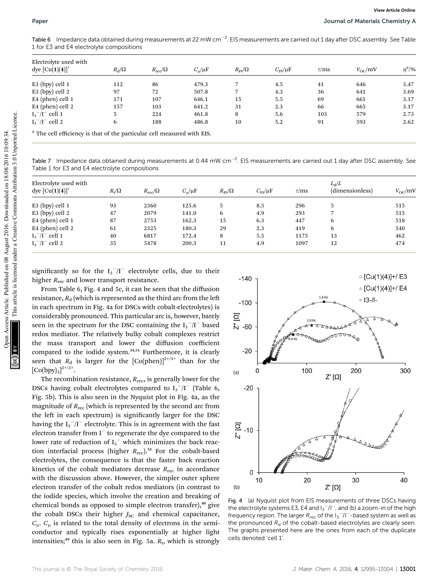| Electrolyte used with<br>dye $[Cu(1)(4)]^{+}$                                                                                                                                                      | $R_{\rm d}/\Omega$ | $R_{\rm rec}/\Omega$ | $C_{\mu}/\mu F$ | $R_{\text{Pt}}/\Omega$ |                    | $C_{\rm Pt}/\mu F$ | $\tau/ms$     | $V_{\rm OC}/\rm mV$ |                                              |
|----------------------------------------------------------------------------------------------------------------------------------------------------------------------------------------------------|--------------------|----------------------|-----------------|------------------------|--------------------|--------------------|---------------|---------------------|----------------------------------------------|
| E3 (bpy) cell 1                                                                                                                                                                                    | 112                | 86                   | 479.3           | 7                      |                    | 4.5                | 41            | 646                 |                                              |
| E3 (bpy) cell 2                                                                                                                                                                                    | 97                 | 72                   | 507.8           | 7                      |                    | 4.3                | 36            | 641                 |                                              |
| E4 (phen) cell 1                                                                                                                                                                                   | 171                | 107                  | 646.1           | 15                     |                    | 5.5                | 69            | 661                 |                                              |
| E4 (phen) cell 2                                                                                                                                                                                   | 157                | 103                  | 641.2           | 31                     |                    | 2.3                | 66            | 665                 |                                              |
| $I_3^-/I^-$ cell 1                                                                                                                                                                                 | 5                  | 224                  | 461.8           | 8                      |                    | 5.6                | 103           | 579                 |                                              |
| $I_3^-/I^-$ cell 2                                                                                                                                                                                 | 6                  | 188                  | 486.8           | 10                     |                    | 5.2                | 91            | 593                 |                                              |
| Table 7 Impedance data obtained during measurements at 0.44 mW cm <sup>-2</sup> . EIS measurements are carried out 1 day after DSC assembly. See<br>Table 1 for E3 and E4 electrolyte compositions |                    |                      |                 |                        |                    |                    |               |                     |                                              |
|                                                                                                                                                                                                    |                    |                      |                 |                        |                    |                    |               |                     |                                              |
| Electrolyte used with<br>dye $[Cu(1)(4)]^{+}$                                                                                                                                                      | $R_{\rm t}/\Omega$ | $R_{\rm rec}/\Omega$ | $C_{\mu}/\mu F$ | $R_{\text{Pt}}/\Omega$ | $C_{\rm Pt}/\mu F$ | $\tau/ms$          | $L_{\rm d}/L$ | (dimensionless)     |                                              |
| $E3$ (bpy) cell 1                                                                                                                                                                                  | 93                 | 2360                 | 125.6           | 5                      | 8.5                | 296                | 5             |                     |                                              |
| E3 (bpy) cell 2                                                                                                                                                                                    | 47                 | 2079                 | 141.0           | 6                      | 4.9                | 293                | 7             |                     |                                              |
| E4 (phen) cell 1                                                                                                                                                                                   | 87                 | 2753                 | 162.3           | 15                     | 6.3                | 447                | 6             |                     |                                              |
| E4 (phen) cell 2                                                                                                                                                                                   | 61                 | 2325                 | 180.3           | 29                     | 2.3                | 419                | 6             |                     | $V_{\rm OC}$ /mV<br>515<br>515<br>518<br>540 |
| $I_3^-/I^-$ cell 1                                                                                                                                                                                 | 40                 | 6817                 | 172.4           | 8                      | 5.5                | 1175               | 13            |                     | 462                                          |
| $I_3^-/I^-$ cell 2                                                                                                                                                                                 | 35                 | 5478                 | 200.3           | 11                     | 4.9                | 1097               | 12            |                     | 474                                          |

Table 7 Impedance data obtained during measurements at 0.44 mW cm<sup>-2</sup>. EIS measurements are carried out 1 day after DSC assembly. See Table 1 for E3 and E4 electrolyte compositions

| Electrolyte used with<br>dye $[Cu(1)(4)]^+$ | $R_{\rm t}/\Omega$ | $R_{\rm rec}/\Omega$ | $C_{\rm u}/\mu F$ | $R_{\rm Pt}/\Omega$ | $C_{\rm Pr}/\mu F$ | $\tau$ /ms | $L_{\rm d}/L$<br>(dimensionless) | $V_{\rm oc}$ /mV |
|---------------------------------------------|--------------------|----------------------|-------------------|---------------------|--------------------|------------|----------------------------------|------------------|
| $E3$ (bpy) cell 1                           | 93                 | 2360                 | 125.6             |                     | 8.5                | 296        | 5                                | 515              |
| $E3$ (bpy) cell 2                           | 47                 | 2079                 | 141.0             | 6                   | 4.9                | 293        |                                  | 515              |
| $E4$ (phen) cell 1                          | 87                 | 2753                 | 162.3             | 15                  | 6.3                | 447        | 6                                | 518              |
| E4 (phen) cell 2                            | 61                 | 2325                 | 180.3             | 29                  | 2.3                | 419        | 6                                | 540              |
| $I_3$ <sup>-</sup> /I <sup>-</sup> cell 1   | 40                 | 6817                 | 172.4             | 8                   | 5.5                | 1175       | 13                               | 462              |
| $I_3^-/I^-$ cell 2                          | 35                 | 5478                 | 200.3             | 11                  | 4.9                | 1097       | 12                               | 474              |

From Table 6, Fig. 4 and 5c, it can be seen that the diffusion resistance,  $R_d$  (which is represented as the third arc from the left in each spectrum in Fig. 4a for DSCs with cobalt-electrolytes) is considerably pronounced. This particular arc is, however, barely seen in the spectrum for the DSC containing the  $I_3^-/I^-$  based redox mediator. The relatively bulky cobalt complexes restrict the mass transport and lower the diffusion coefficient compared to the iodide system.<sup>34,51</sup> Furthermore, it is clearly seen that  $R_d$  is larger for the  $[Co(phen)]^{2^{+/3+}}$  than for the  $[Co(bpy)_{3}]^{2+/3+}.$ 

The recombination resistance,  $R_{\text{rec}}$ , is generally lower for the DSCs having cobalt electrolytes compared to  $I_3^-/I^-$  (Table 6, Fig. 5b). This is also seen in the Nyquist plot in Fig. 4a, as the magnitude of  $R_{\text{rec}}$  (which is represented by the second arc from the left in each spectrum) is significantly larger for the DSC having the I $_{3}^{-}/$ I $^{-}$  electrolyte. This is in agreement with the fast electron transfer from  $I^-$  to regenerate the dye compared to the lower rate of reduction of  $I_3$ <sup>-</sup> which minimizes the back reaction interfacial process (higher  $R_{\text{rec}}$ ).<sup>52</sup> For the cobalt-based electrolytes, the consequence is that the faster back reaction kinetics of the cobalt mediators decrease  $R_{\text{rec}}$  in accordance with the discussion above. However, the simpler outer sphere electron transfer of the cobalt redox mediators (in contrast to the iodide species, which involve the creation and breaking of chemical bonds as opposed to simple electron transfer),<sup>40</sup> give the cobalt DSCs their higher  $J_{SC}$  and chemical capacitance,  $C_{\mu}$ .  $C_{\mu}$  is related to the total density of electrons in the semiconductor and typically rises exponentially at higher light intensities;<sup>49</sup> this is also seen in Fig. 5a.  $R_t$ , which is strongly



Fig. 4 (a) Nyquist plot from EIS measurements of three DSCs having the electrolyte systems E3, E4 and  $I_3^-/I^-$ , and (b) a zoom-in of the high frequency region. The larger  $R_{\rm rec}$  of the  $\rm 1_{3}^{-}/\rm 1^{-}$ -based system as well as the pronounced  $R<sub>d</sub>$  of the cobalt-based electrolytes are clearly seen. The graphs presented here are the ones from each of the duplicate cells denoted 'cell 1'.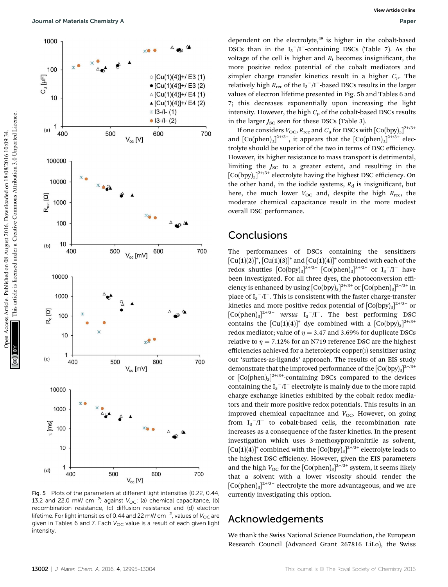

Fig. 5 Plots of the parameters at different light intensities (0.22, 0.44, 13.2 and 22.0 mW cm $^{-2}$ ) against  $V_{\rm OC}$ : (a) chemical capacitance, (b) recombination resistance, (c) diffusion resistance and (d) electron lifetime. For light intensities of 0.44 and 22 mW cm $^{-2}$ , values of  $V_{\rm OC}$  are given in Tables 6 and 7. Each  $V_{OC}$  value is a result of each given light intensity.

dependent on the electrolyte,<sup>49</sup> is higher in the cobalt-based DSCs than in the  $I_3^-/I^-$ -containing DSCs (Table 7). As the voltage of the cell is higher and  $R_t$  becomes insignificant, the more positive redox potential of the cobalt mediators and simpler charge transfer kinetics result in a higher  $C_{\mu}$ . The relatively high  $R_{\text{rec}}$  of the I<sub>3</sub><sup>--</sup>/I<sup>-</sup>-based DSCs results in the larger values of electron lifetime presented in Fig. 5b and Tables 6 and 7; this decreases exponentially upon increasing the light intensity. However, the high  $C<sub>u</sub>$  of the cobalt-based DSCs results in the larger  $J_{SC}$  seen for these DSCs (Table 3).

If one considers  $V_{\rm OC}$ ,  $R_{\rm rec}$  and  $C_{\mu}$  for DSCs with  $\rm [Co(bpy)_3]^{2+/3+}$ and  $[Co(phen)_3]^{2+/3+}$ , it appears that the  $[Co(phen)_3]^{2+/3+}$  electrolyte should be superior of the two in terms of DSC efficiency. However, its higher resistance to mass transport is detrimental, limiting the  $J_{SC}$  to a greater extent, and resulting in the  $[Co(bpy)_3]^{2+/3+}$  electrolyte having the highest DSC efficiency. On the other hand, in the iodide systems,  $R_d$  is insignificant, but here, the much lower  $V_{\text{OC}}$  and, despite the high  $R_{\text{rec}}$ , the moderate chemical capacitance result in the more modest overall DSC performance.

### **Conclusions**

The performances of DSCs containing the sensitizers  $\left[\mathrm{Cu}(1)(2)\right]^+$ ,  $\left[\mathrm{Cu}(1)(3)\right]^+$  and  $\left[\mathrm{Cu}(1)(4)\right]^+$  combined with each of the redox shuttles  $\left[\text{Co(bpy)}_{3}\right]^{3+/2+}\left[\text{Co(phen)}_{3}\right]^{3+/2+}$  or  $I_{3}^-/\text{I}^-$  have been investigated. For all three dyes, the photoconversion efficiency is enhanced by using  $\left[Co(bpy)_3\right]^{2+/3+}$  or  $\left[Co(phen)_3\right]^{2+/3+}$  in place of  $I_3^-/I^-$ . This is consistent with the faster charge-transfer kinetics and more positive redox potential of  $[Co(bpy)_3]^{2+/3+}$  or  $[Co(phen)_3]^{2+/3+}$  versus  $I_3^-/I^-$ . The best performing DSC contains the  $[Cu(1)(4)]^+$  dye combined with a  $[Co(bpy)_3]^{2+/3+}$ redox mediator; value of  $n = 3.47$  and 3.69% for duplicate DSCs relative to  $\eta = 7.12\%$  for an N719 reference DSC are the highest efficiencies achieved for a heteroleptic copper $(i)$  sensitizer using our 'surfaces-as-ligands' approach. The results of an EIS study demonstrate that the improved performance of the  $[Co(bpy)_3]^{2+/3+}$ or  $[Co(phen)_3]^{2+/3+}$ -containing DSCs compared to the devices containing the  $I_3$ <sup>-</sup>/I<sup>-</sup> electrolyte is mainly due to the more rapid charge exchange kinetics exhibited by the cobalt redox mediators and their more positive redox potentials. This results in an improved chemical capacitance and  $V_{\text{OC}}$ . However, on going from  $I_3^-/I^-$  to cobalt-based cells, the recombination rate increases as a consequence of the faster kinetics. In the present investigation which uses 3-methoxypropionitrile as solvent,  $\left[\mathrm{Cu(1)(4)}\right]^{\mathrm{+}}$  combined with the  $\left[\mathrm{Co(bpy)}_{3}\right]^{2+/3+}$  electrolyte leads to the highest DSC efficiency. However, given the EIS parameters and the high  $V_{\text{OC}}$  for the  $\text{[Co(phen)_3]}^{2^{t+}/3^+}$  system, it seems likely that a solvent with a lower viscosity should render the  $[Co(phen)_3]^{2^{t/3^+}}$  electrolyte the more advantageous, and we are currently investigating this option.

## Acknowledgements

We thank the Swiss National Science Foundation, the European Research Council (Advanced Grant 267816 LiLo), the Swiss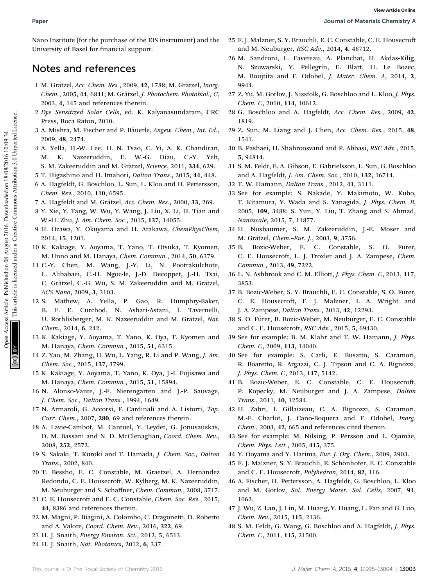Nano Institute (for the purchase of the EIS instrument) and the University of Basel for financial support.

## Notes and references

- 1 M. Grätzel, Acc. Chem. Res., 2009, 42, 1788; M. Grätzel, Inorg. Chem., 2005, 44, 6841; M. Grätzel, J. Photochem. Photobiol., C, 2003, 4, 145 and references therein.
- 2 Dye Sensitized Solar Cells, ed. K. Kalyanasundaram, CRC Press, Boca Raton, 2010.
- 3 A. Mishra, M. Fischer and P. Bäuerle, Angew. Chem., Int. Ed., 2009, 48, 2474.
- 4 A. Yella, H.-W. Lee, H. N. Tsao, C. Yi, A. K. Chandiran, M. K. Nazeeruddin, E. W.-G. Diau, C.-Y. Yeh, S. M. Zakeeruddin and M. Grätzel, Science, 2011, 334, 629.
- 5 T. Higashino and H. Imahori, Dalton Trans., 2015, 44, 448.
- 6 A. Hagfeldt, G. Boschloo, L. Sun, L. Kloo and H. Pettersson, Chem. Rev., 2010, 110, 6595.
- 7 A. Hagfeldt and M. Grätzel, Acc. Chem. Res., 2000, 33, 269.
- 8 Y. Xie, Y. Tang, W. Wu, Y. Wang, J. Liu, X. Li, H. Tian and W.-H. Zhu, J. Am. Chem. Soc., 2015, 137, 14055.
- 9 H. Ozawa, Y. Okuyama and H. Arakawa, ChemPhysChem, 2014, 15, 1201.
- 10 K. Kakiage, Y. Aoyama, T. Yano, T. Otsuka, T. Kyomen, M. Unno and M. Hanaya, Chem. Commun., 2014, 50, 6379.
- 11 C.-Y. Chen, M. Wang, J.-Y. Li, N. Pootrakulchote, L. Alibabaei, C.-H. Ngoc-le, J.-D. Decoppet, J.-H. Tsai, C. Grätzel, C.-G. Wu, S. M. Zakeeruddin and M. Grätzel, ACS Nano, 2009, 3, 3103.
- 12 S. Mathew, A. Yella, P. Gao, R. Humphry-Baker, B. F. E. Curchod, N. Ashari-Astani, I. Tavernelli, U. Rothlisberger, M. K. Nazeeruddin and M. Grätzel, Nat. Chem., 2014, 6, 242.
- 13 K. Kakiage, Y. Aoyama, T. Yano, K. Oya, T. Kyomen and M. Hanaya, Chem. Commun., 2015, 51, 6315.
- 14 Z. Yao, M. Zhang, H. Wu, L. Yang, R. Li and P. Wang, J. Am. Chem. Soc., 2015, 137, 3799.
- 15 K. Kakiage, Y. Aoyama, T. Yano, K. Oya, J.-I. Fujisawa and M. Hanaya, Chem. Commun., 2015, 51, 15894.
- 16 N. Alonso-Vante, J.-F. Nierengarten and J.-P. Sauvage, J. Chem. Soc., Dalton Trans., 1994, 1649.
- 17 N. Armaroli, G. Accorsi, F. Cardinali and A. Listorti, Top. Curr. Chem., 2007, 280, 69 and references therein.
- 18 A. Lavie-Cambot, M. Cantuel, Y. Leydet, G. Jonusauskas, D. M. Bassani and N. D. McClenaghan, Coord. Chem. Rev., 2008, 252, 2572.
- 19 S. Sakaki, T. Kuroki and T. Hamada, J. Chem. Soc., Dalton Trans., 2002, 840.
- 20 T. Bessho, E. C. Constable, M. Graetzel, A. Hernandez Redondo, C. E. Housecroft, W. Kylberg, M. K. Nazeeruddin, M. Neuburger and S. Schaffner, Chem. Commun., 2008, 3717.
- 21 C. E. Housecroft and E. C. Constable, Chem. Soc. Rev., 2015, 44, 8386 and references therein.
- 22 M. Magni, P. Biagini, A. Colombo, C. Dragonetti, D. Roberto and A. Valore, Coord. Chem. Rev., 2016, 322, 69.
- 23 H. J. Snaith, Energy Environ. Sci., 2012, 5, 6513.
- 24 H. J. Snaith, Nat. Photonics, 2012, 6, 337.
- 25 F. J. Malzner, S. Y. Brauchli, E. C. Constable, C. E. Housecro and M. Neuburger, RSC Adv., 2014, 4, 48712.
- 26 M. Sandroni, L. Favereau, A. Planchat, H. Akdas-Kilig, N. Szuwarski, Y. Pellegrin, E. Blart, H. Le Bozec, M. Boujtita and F. Odobel, J. Mater. Chem. A, 2014, 2, 9944.
- 27 Z. Yu, M. Gorlov, J. Nissfolk, G. Boschloo and L. Kloo, J. Phys. Chem. C, 2010, 114, 10612.
- 28 G. Boschloo and A. Hagfeldt, Acc. Chem. Res., 2009, 42, 1819.
- 29 Z. Sun, M. Liang and J. Chen, Acc. Chem. Res., 2015, 48, 1541.
- 30 B. Pashaei, H. Shahroosvand and P. Abbasi, RSC Adv., 2015, 5, 94814.
- 31 S. M. Feldt, E. A. Gibson, E. Gabrielsson, L. Sun, G. Boschloo and A. Hagfeldt, J. Am. Chem. Soc., 2010, 132, 16714.
- 32 T. W. Hamann, Dalton Trans., 2012, 41, 3111.
- 33 See for example: S. Nakade, Y. Makimoto, W. Kubo, T. Kitamura, Y. Wada and S. Yanagida, J. Phys. Chem. B, 2005, 109, 3488; S. Yun, Y. Liu, T. Zhang and S. Ahmad, Nanoscale, 2015, 7, 11877. Paper<br>
Natio Existen Articles. One methods on 08 August 2016. The methods Article. C. Constable, C. F. Housecred<br>
University of Sacrific iteration support and the published on 18/08/2016. And 2016. National Hotel King (191
	- 34 H. Nusbaumer, S. M. Zakeeruddin, J.-E. Moser and M. Grätzel, Chem.-Eur. J., 2003, 9, 3756.
	- 35 B. Bozic-Weber, E. C. Constable, S. O. Fürer, C. E. Housecroft, L. J. Troxler and J. A. Zampese, Chem. Commun., 2013, 49, 7222.
	- 36 L. N. Ashbrook and C. M. Elliott, J. Phys. Chem. C, 2013, 117, 3853.
	- 37 B. Bozic-Weber, S. Y. Brauchli, E. C. Constable, S. O. Fürer, C. E. Housecroft, F. J. Malzner, I. A. Wright and J. A. Zampese, Dalton Trans., 2013, 42, 12293.
	- 38 S. O. Furer, B. Bozic-Weber, M. Neuburger, E. C. Constable ¨ and C. E. Housecroft, *RSC Adv.*, 2015, 5, 69430.
	- 39 See for example: B. M. Klahr and T. W. Hamann, J. Phys. Chem. C, 2009, 113, 14040.
	- 40 See for example: S. Carli, E. Busatto, S. Caramori, R. Boaretto, R. Argazzi, C. J. Tipson and C. A. Bignozzi, J. Phys. Chem. C, 2013, 117, 5142.
	- 41 B. Bozic-Weber, E. C. Constable, C. E. Housecroft, P. Kopecky, M. Neuburger and J. A. Zampese, Dalton Trans., 2011, 40, 12584.
	- 42 H. Zabri, I. Gillaizeau, C. A. Bignozzi, S. Caramori, M.-F. Charlot, J. Cano-Boquera and F. Odobel, Inorg. Chem., 2003, 42, 665 and references cited therein.
	- 43 See for example: M. Nilsing, P. Persson and L. Ojamäe, Chem. Phys. Lett., 2005, 415, 375.
	- 44 Y. Ooyama and Y. Harima, Eur. J. Org. Chem., 2009, 2903.
	- 45 F. J. Malzner, S. Y. Brauchli, E. Schönhofer, E. C. Constable and C. E. Housecroft, Polyhedron, 2014, 82, 116.
	- 46 A. Fischer, H. Pettersson, A. Hagfeldt, G. Boschloo, L. Kloo and M. Gorlov, Sol. Energy Mater. Sol. Cells, 2007, 91, 1062.
	- 47 J. Wu, Z. Lan, J. Lin, M. Huang, Y. Huang, L. Fan and G. Luo, Chem. Rev., 2015, 115, 2136.
	- 48 S. M. Feldt, G. Wang, G. Boschloo and A. Hagfeldt, J. Phys. Chem. C, 2011, 115, 21500.